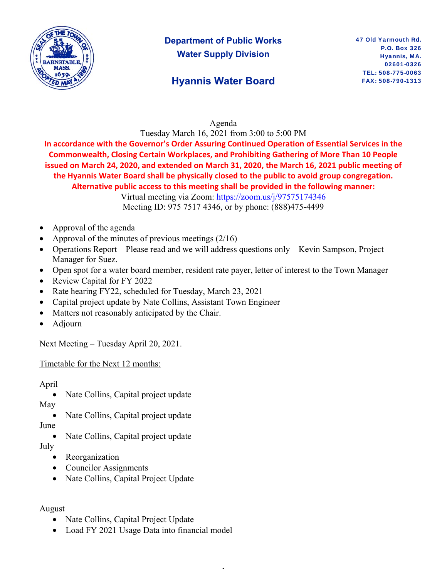

## **Department of Public Works Water Supply Division**

## **Hyannis Water Board**

#### Agenda

Tuesday March 16, 2021 from 3:00 to 5:00 PM

**In accordance with the Governor's Order Assuring Continued Operation of Essential Services in the Commonwealth, Closing Certain Workplaces, and Prohibiting Gathering of More Than 10 People issued on March 24, 2020, and extended on March 31, 2020, the March 16, 2021 public meeting of the Hyannis Water Board shall be physically closed to the public to avoid group congregation. Alternative public access to this meeting shall be provided in the following manner:** 

Virtual meeting via Zoom: https://zoom.us/j/97575174346 Meeting ID: 975 7517 4346, or by phone: (888)475-4499

- Approval of the agenda
- Approval of the minutes of previous meetings (2/16)
- Operations Report Please read and we will address questions only Kevin Sampson, Project Manager for Suez.
- Open spot for a water board member, resident rate payer, letter of interest to the Town Manager

,

- Review Capital for FY 2022
- Rate hearing FY22, scheduled for Tuesday, March 23, 2021
- Capital project update by Nate Collins, Assistant Town Engineer
- Matters not reasonably anticipated by the Chair.
- Adjourn

Next Meeting – Tuesday April 20, 2021.

#### Timetable for the Next 12 months:

April

Nate Collins, Capital project update

May

• Nate Collins, Capital project update

June

Nate Collins, Capital project update

July

- Reorganization
- Councilor Assignments
- Nate Collins, Capital Project Update

August

- Nate Collins, Capital Project Update
- Load FY 2021 Usage Data into financial model